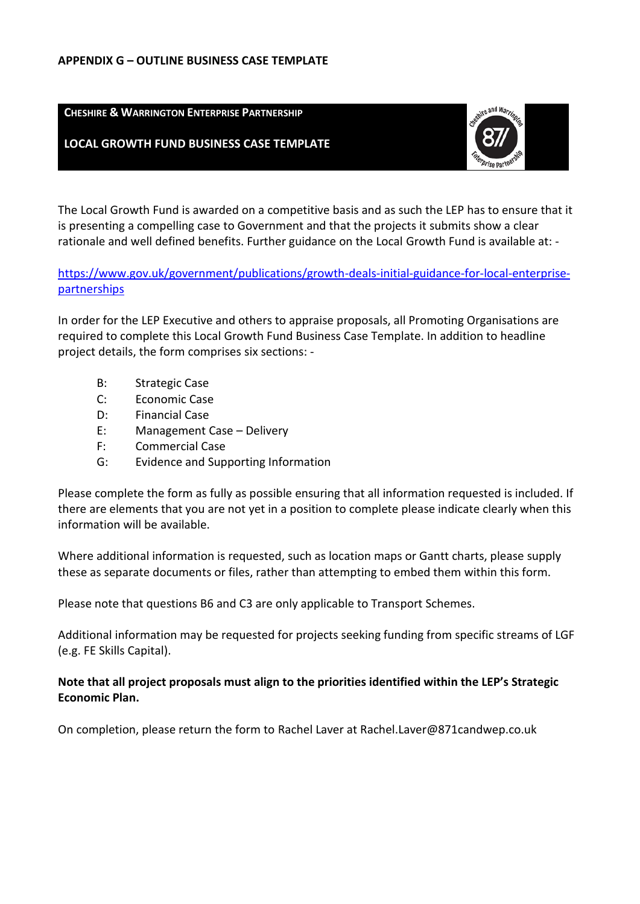#### **APPENDIX G – OUTLINE BUSINESS CASE TEMPLATE**

**CHESHIRE & WARRINGTON ENTERPRISE PARTNERSHIP**

### **LOCAL GROWTH FUND BUSINESS CASE TEMPLATE**



The Local Growth Fund is awarded on a competitive basis and as such the LEP has to ensure that it is presenting a compelling case to Government and that the projects it submits show a clear rationale and well defined benefits. Further guidance on the Local Growth Fund is available at: -

[https://www.gov.uk/government/publications/growth-deals-initial-guidance-for-local-enterprise](https://www.gov.uk/government/publications/growth-deals-initial-guidance-for-local-enterprise-partnerships)[partnerships](https://www.gov.uk/government/publications/growth-deals-initial-guidance-for-local-enterprise-partnerships)

In order for the LEP Executive and others to appraise proposals, all Promoting Organisations are required to complete this Local Growth Fund Business Case Template. In addition to headline project details, the form comprises six sections: -

- B: Strategic Case
- C: Economic Case
- D: Financial Case
- E: Management Case Delivery
- F: Commercial Case
- G: Evidence and Supporting Information

Please complete the form as fully as possible ensuring that all information requested is included. If there are elements that you are not yet in a position to complete please indicate clearly when this information will be available.

Where additional information is requested, such as location maps or Gantt charts, please supply these as separate documents or files, rather than attempting to embed them within this form.

Please note that questions B6 and C3 are only applicable to Transport Schemes.

Additional information may be requested for projects seeking funding from specific streams of LGF (e.g. FE Skills Capital).

### **Note that all project proposals must align to the priorities identified within the LEP's Strategic Economic Plan.**

On completion, please return the form to Rachel Laver at Rachel.Laver@871candwep.co.uk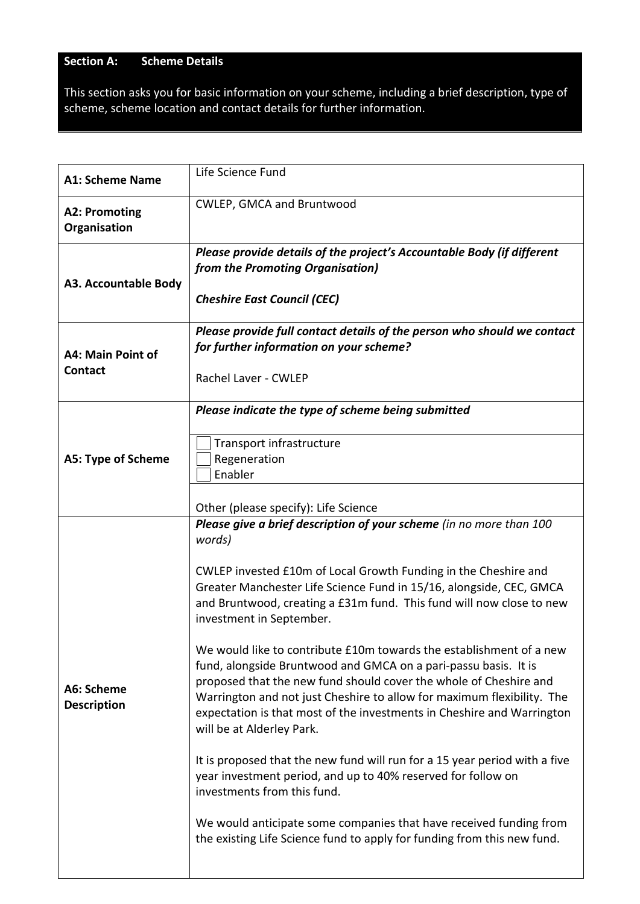# **Section A: Scheme Details**

This section asks you for basic information on your scheme, including a brief description, type of scheme, scheme location and contact details for further information.

| <b>A1: Scheme Name</b>               | Life Science Fund                                                                                                                                                                                                                                                                                                                                                                                                                                                                                                                                                                                                                                                                                                                                                                                                                                                                                                                                                                                                                                         |
|--------------------------------------|-----------------------------------------------------------------------------------------------------------------------------------------------------------------------------------------------------------------------------------------------------------------------------------------------------------------------------------------------------------------------------------------------------------------------------------------------------------------------------------------------------------------------------------------------------------------------------------------------------------------------------------------------------------------------------------------------------------------------------------------------------------------------------------------------------------------------------------------------------------------------------------------------------------------------------------------------------------------------------------------------------------------------------------------------------------|
| <b>A2: Promoting</b><br>Organisation | CWLEP, GMCA and Bruntwood                                                                                                                                                                                                                                                                                                                                                                                                                                                                                                                                                                                                                                                                                                                                                                                                                                                                                                                                                                                                                                 |
| A3. Accountable Body                 | Please provide details of the project's Accountable Body (if different<br>from the Promoting Organisation)<br><b>Cheshire East Council (CEC)</b>                                                                                                                                                                                                                                                                                                                                                                                                                                                                                                                                                                                                                                                                                                                                                                                                                                                                                                          |
| A4: Main Point of<br>Contact         | Please provide full contact details of the person who should we contact<br>for further information on your scheme?<br>Rachel Laver - CWLEP                                                                                                                                                                                                                                                                                                                                                                                                                                                                                                                                                                                                                                                                                                                                                                                                                                                                                                                |
| A5: Type of Scheme                   | Please indicate the type of scheme being submitted<br>Transport infrastructure<br>Regeneration<br>Enabler<br>Other (please specify): Life Science                                                                                                                                                                                                                                                                                                                                                                                                                                                                                                                                                                                                                                                                                                                                                                                                                                                                                                         |
| A6: Scheme<br><b>Description</b>     | Please give a brief description of your scheme (in no more than 100<br>words)<br>CWLEP invested £10m of Local Growth Funding in the Cheshire and<br>Greater Manchester Life Science Fund in 15/16, alongside, CEC, GMCA<br>and Bruntwood, creating a £31m fund. This fund will now close to new<br>investment in September.<br>We would like to contribute £10m towards the establishment of a new<br>fund, alongside Bruntwood and GMCA on a pari-passu basis. It is<br>proposed that the new fund should cover the whole of Cheshire and<br>Warrington and not just Cheshire to allow for maximum flexibility. The<br>expectation is that most of the investments in Cheshire and Warrington<br>will be at Alderley Park.<br>It is proposed that the new fund will run for a 15 year period with a five<br>year investment period, and up to 40% reserved for follow on<br>investments from this fund.<br>We would anticipate some companies that have received funding from<br>the existing Life Science fund to apply for funding from this new fund. |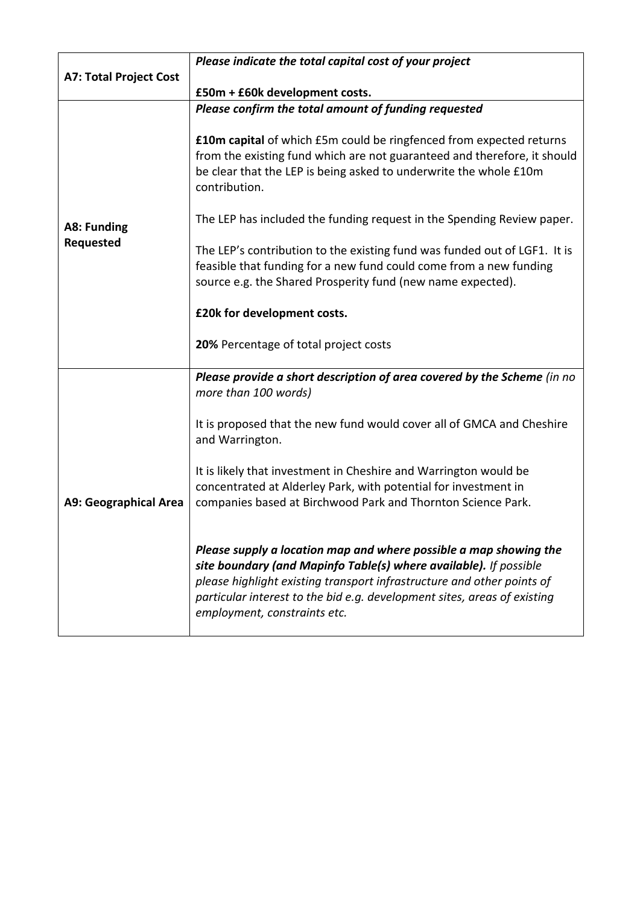|                               | Please indicate the total capital cost of your project                                                                                                                                                                                                                                                                       |
|-------------------------------|------------------------------------------------------------------------------------------------------------------------------------------------------------------------------------------------------------------------------------------------------------------------------------------------------------------------------|
| <b>A7: Total Project Cost</b> |                                                                                                                                                                                                                                                                                                                              |
|                               | £50m + £60k development costs.                                                                                                                                                                                                                                                                                               |
|                               | Please confirm the total amount of funding requested                                                                                                                                                                                                                                                                         |
|                               | <b>£10m capital</b> of which £5m could be ringfenced from expected returns<br>from the existing fund which are not guaranteed and therefore, it should<br>be clear that the LEP is being asked to underwrite the whole £10m<br>contribution.                                                                                 |
| A8: Funding                   | The LEP has included the funding request in the Spending Review paper.                                                                                                                                                                                                                                                       |
| Requested                     | The LEP's contribution to the existing fund was funded out of LGF1. It is<br>feasible that funding for a new fund could come from a new funding<br>source e.g. the Shared Prosperity fund (new name expected).                                                                                                               |
|                               | £20k for development costs.                                                                                                                                                                                                                                                                                                  |
|                               | 20% Percentage of total project costs                                                                                                                                                                                                                                                                                        |
| <b>A9: Geographical Area</b>  | Please provide a short description of area covered by the Scheme (in no<br>more than 100 words)                                                                                                                                                                                                                              |
|                               | It is proposed that the new fund would cover all of GMCA and Cheshire<br>and Warrington.                                                                                                                                                                                                                                     |
|                               | It is likely that investment in Cheshire and Warrington would be<br>concentrated at Alderley Park, with potential for investment in<br>companies based at Birchwood Park and Thornton Science Park.                                                                                                                          |
|                               | Please supply a location map and where possible a map showing the<br>site boundary (and Mapinfo Table(s) where available). If possible<br>please highlight existing transport infrastructure and other points of<br>particular interest to the bid e.g. development sites, areas of existing<br>employment, constraints etc. |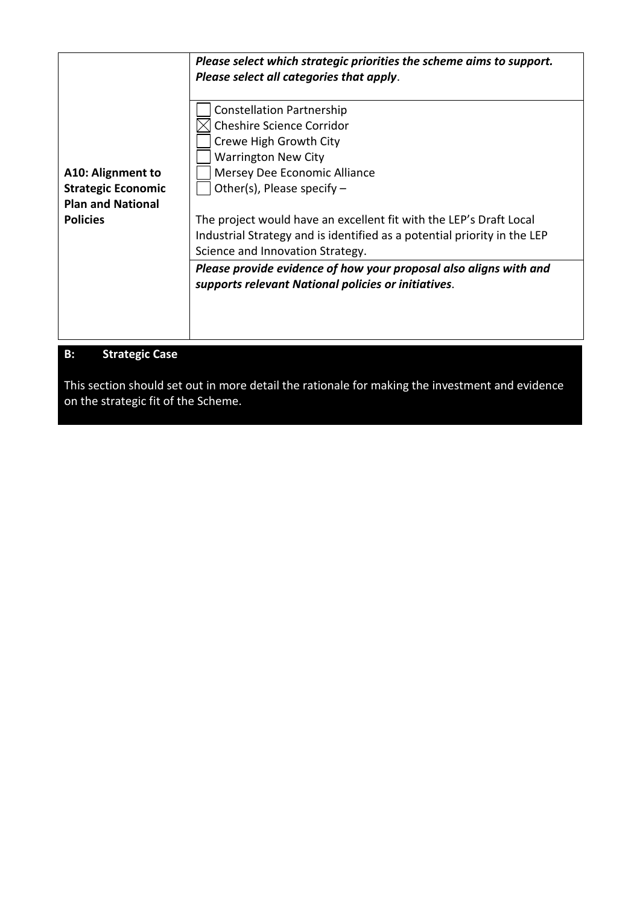|                                                | Please select which strategic priorities the scheme aims to support.<br>Please select all categories that apply.                                                                                                                                                                                               |
|------------------------------------------------|----------------------------------------------------------------------------------------------------------------------------------------------------------------------------------------------------------------------------------------------------------------------------------------------------------------|
| A10: Alignment to<br><b>Strategic Economic</b> | <b>Constellation Partnership</b><br><b>Cheshire Science Corridor</b><br>Crewe High Growth City<br><b>Warrington New City</b><br>Mersey Dee Economic Alliance<br>Other(s), Please specify $-$                                                                                                                   |
| <b>Plan and National</b><br><b>Policies</b>    | The project would have an excellent fit with the LEP's Draft Local<br>Industrial Strategy and is identified as a potential priority in the LEP<br>Science and Innovation Strategy.<br>Please provide evidence of how your proposal also aligns with and<br>supports relevant National policies or initiatives. |
| <b>B:</b><br><b>Strategic Case</b>             |                                                                                                                                                                                                                                                                                                                |

This section should set out in more detail the rationale for making the investment and evidence on the strategic fit of the Scheme.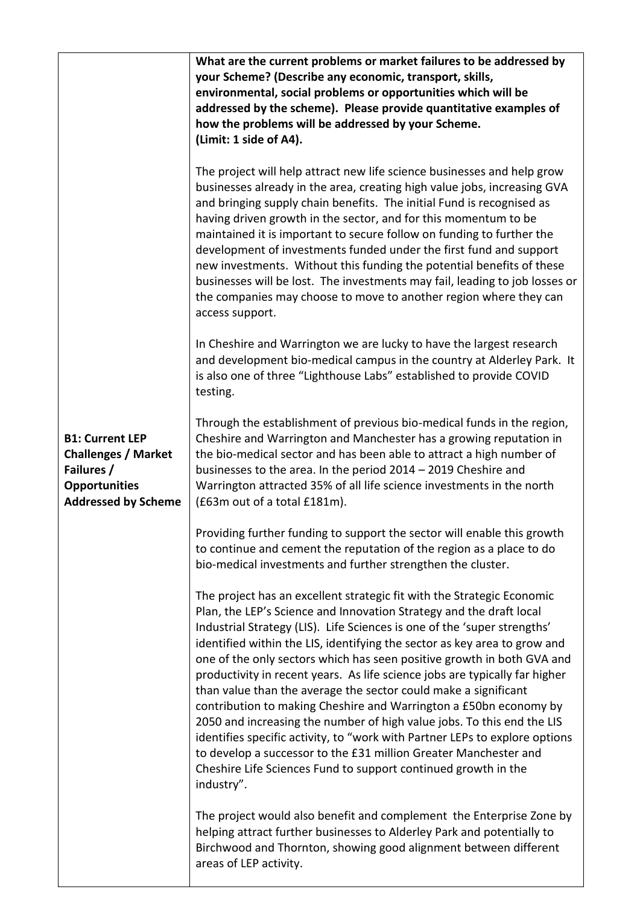|                                                                                                                          | What are the current problems or market failures to be addressed by<br>your Scheme? (Describe any economic, transport, skills,<br>environmental, social problems or opportunities which will be<br>addressed by the scheme). Please provide quantitative examples of<br>how the problems will be addressed by your Scheme.<br>(Limit: 1 side of A4).                                                                                                                                                                                                                                                                                                                                                                                                                                                                                                                                                                 |
|--------------------------------------------------------------------------------------------------------------------------|----------------------------------------------------------------------------------------------------------------------------------------------------------------------------------------------------------------------------------------------------------------------------------------------------------------------------------------------------------------------------------------------------------------------------------------------------------------------------------------------------------------------------------------------------------------------------------------------------------------------------------------------------------------------------------------------------------------------------------------------------------------------------------------------------------------------------------------------------------------------------------------------------------------------|
|                                                                                                                          | The project will help attract new life science businesses and help grow<br>businesses already in the area, creating high value jobs, increasing GVA<br>and bringing supply chain benefits. The initial Fund is recognised as<br>having driven growth in the sector, and for this momentum to be<br>maintained it is important to secure follow on funding to further the<br>development of investments funded under the first fund and support<br>new investments. Without this funding the potential benefits of these<br>businesses will be lost. The investments may fail, leading to job losses or<br>the companies may choose to move to another region where they can<br>access support.                                                                                                                                                                                                                       |
|                                                                                                                          | In Cheshire and Warrington we are lucky to have the largest research<br>and development bio-medical campus in the country at Alderley Park. It<br>is also one of three "Lighthouse Labs" established to provide COVID<br>testing.                                                                                                                                                                                                                                                                                                                                                                                                                                                                                                                                                                                                                                                                                    |
| <b>B1: Current LEP</b><br><b>Challenges / Market</b><br>Failures /<br><b>Opportunities</b><br><b>Addressed by Scheme</b> | Through the establishment of previous bio-medical funds in the region,<br>Cheshire and Warrington and Manchester has a growing reputation in<br>the bio-medical sector and has been able to attract a high number of<br>businesses to the area. In the period 2014 - 2019 Cheshire and<br>Warrington attracted 35% of all life science investments in the north<br>(£63m out of a total £181m).                                                                                                                                                                                                                                                                                                                                                                                                                                                                                                                      |
|                                                                                                                          | Providing further funding to support the sector will enable this growth<br>to continue and cement the reputation of the region as a place to do<br>bio-medical investments and further strengthen the cluster.                                                                                                                                                                                                                                                                                                                                                                                                                                                                                                                                                                                                                                                                                                       |
|                                                                                                                          | The project has an excellent strategic fit with the Strategic Economic<br>Plan, the LEP's Science and Innovation Strategy and the draft local<br>Industrial Strategy (LIS). Life Sciences is one of the 'super strengths'<br>identified within the LIS, identifying the sector as key area to grow and<br>one of the only sectors which has seen positive growth in both GVA and<br>productivity in recent years. As life science jobs are typically far higher<br>than value than the average the sector could make a significant<br>contribution to making Cheshire and Warrington a £50bn economy by<br>2050 and increasing the number of high value jobs. To this end the LIS<br>identifies specific activity, to "work with Partner LEPs to explore options<br>to develop a successor to the £31 million Greater Manchester and<br>Cheshire Life Sciences Fund to support continued growth in the<br>industry". |
|                                                                                                                          | The project would also benefit and complement the Enterprise Zone by<br>helping attract further businesses to Alderley Park and potentially to<br>Birchwood and Thornton, showing good alignment between different<br>areas of LEP activity.                                                                                                                                                                                                                                                                                                                                                                                                                                                                                                                                                                                                                                                                         |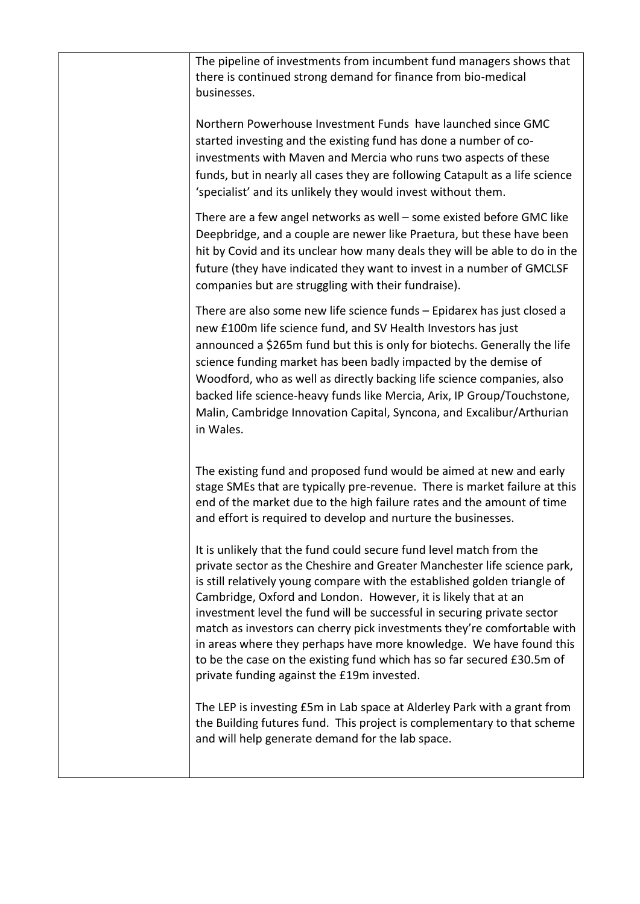| The pipeline of investments from incumbent fund managers shows that<br>there is continued strong demand for finance from bio-medical<br>businesses.                                                                                                                                                                                                                                                                                                                                                                                                                                                                                                 |
|-----------------------------------------------------------------------------------------------------------------------------------------------------------------------------------------------------------------------------------------------------------------------------------------------------------------------------------------------------------------------------------------------------------------------------------------------------------------------------------------------------------------------------------------------------------------------------------------------------------------------------------------------------|
| Northern Powerhouse Investment Funds have launched since GMC<br>started investing and the existing fund has done a number of co-<br>investments with Maven and Mercia who runs two aspects of these<br>funds, but in nearly all cases they are following Catapult as a life science<br>'specialist' and its unlikely they would invest without them.                                                                                                                                                                                                                                                                                                |
| There are a few angel networks as well – some existed before GMC like<br>Deepbridge, and a couple are newer like Praetura, but these have been<br>hit by Covid and its unclear how many deals they will be able to do in the<br>future (they have indicated they want to invest in a number of GMCLSF<br>companies but are struggling with their fundraise).                                                                                                                                                                                                                                                                                        |
| There are also some new life science funds - Epidarex has just closed a<br>new £100m life science fund, and SV Health Investors has just<br>announced a \$265m fund but this is only for biotechs. Generally the life<br>science funding market has been badly impacted by the demise of<br>Woodford, who as well as directly backing life science companies, also<br>backed life science-heavy funds like Mercia, Arix, IP Group/Touchstone,<br>Malin, Cambridge Innovation Capital, Syncona, and Excalibur/Arthurian<br>in Wales.                                                                                                                 |
| The existing fund and proposed fund would be aimed at new and early<br>stage SMEs that are typically pre-revenue. There is market failure at this<br>end of the market due to the high failure rates and the amount of time<br>and effort is required to develop and nurture the businesses.                                                                                                                                                                                                                                                                                                                                                        |
| It is unlikely that the fund could secure fund level match from the<br>private sector as the Cheshire and Greater Manchester life science park,<br>is still relatively young compare with the established golden triangle of<br>Cambridge, Oxford and London. However, it is likely that at an<br>investment level the fund will be successful in securing private sector<br>match as investors can cherry pick investments they're comfortable with<br>in areas where they perhaps have more knowledge. We have found this<br>to be the case on the existing fund which has so far secured £30.5m of<br>private funding against the £19m invested. |
| The LEP is investing £5m in Lab space at Alderley Park with a grant from<br>the Building futures fund. This project is complementary to that scheme<br>and will help generate demand for the lab space.                                                                                                                                                                                                                                                                                                                                                                                                                                             |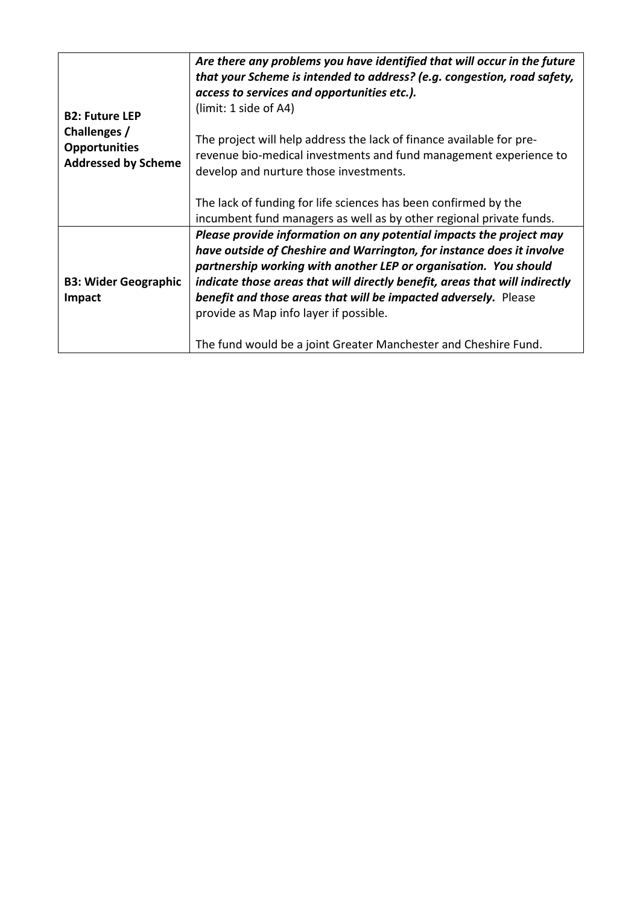| <b>B2: Future LEP</b><br>Challenges /<br><b>Opportunities</b><br><b>Addressed by Scheme</b> | Are there any problems you have identified that will occur in the future<br>that your Scheme is intended to address? (e.g. congestion, road safety,<br>access to services and opportunities etc.).<br>(limit: 1 side of A4)<br>The project will help address the lack of finance available for pre-<br>revenue bio-medical investments and fund management experience to<br>develop and nurture those investments.<br>The lack of funding for life sciences has been confirmed by the                                                                  |
|---------------------------------------------------------------------------------------------|--------------------------------------------------------------------------------------------------------------------------------------------------------------------------------------------------------------------------------------------------------------------------------------------------------------------------------------------------------------------------------------------------------------------------------------------------------------------------------------------------------------------------------------------------------|
| <b>B3: Wider Geographic</b><br>Impact                                                       | incumbent fund managers as well as by other regional private funds.<br>Please provide information on any potential impacts the project may<br>have outside of Cheshire and Warrington, for instance does it involve<br>partnership working with another LEP or organisation. You should<br>indicate those areas that will directly benefit, areas that will indirectly<br>benefit and those areas that will be impacted adversely. Please<br>provide as Map info layer if possible.<br>The fund would be a joint Greater Manchester and Cheshire Fund. |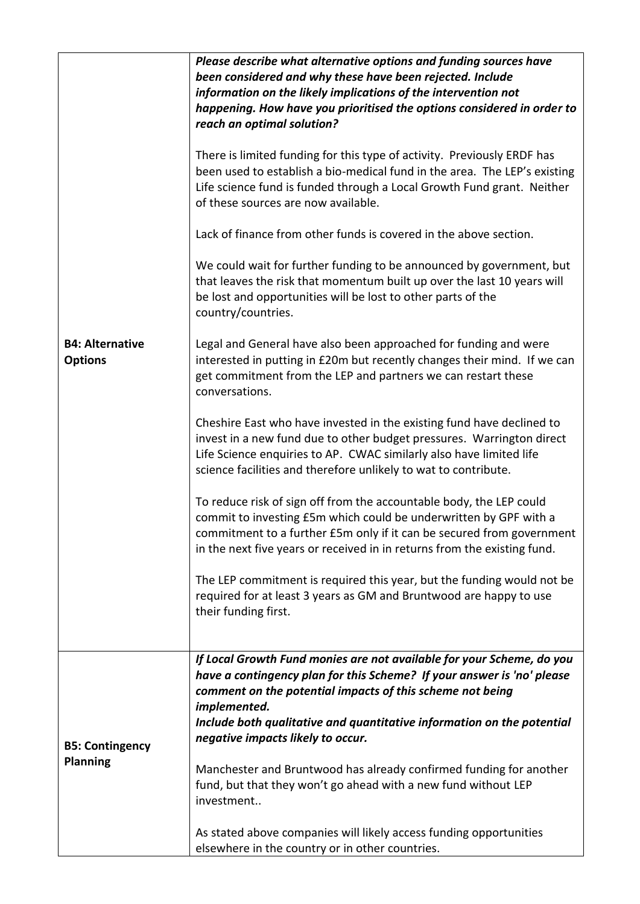| <b>B4: Alternative</b><br><b>Options</b>  | Please describe what alternative options and funding sources have<br>been considered and why these have been rejected. Include<br>information on the likely implications of the intervention not<br>happening. How have you prioritised the options considered in order to<br>reach an optimal solution?<br>There is limited funding for this type of activity. Previously ERDF has<br>been used to establish a bio-medical fund in the area. The LEP's existing<br>Life science fund is funded through a Local Growth Fund grant. Neither<br>of these sources are now available.<br>Lack of finance from other funds is covered in the above section.<br>We could wait for further funding to be announced by government, but<br>that leaves the risk that momentum built up over the last 10 years will<br>be lost and opportunities will be lost to other parts of the<br>country/countries.<br>Legal and General have also been approached for funding and were<br>interested in putting in £20m but recently changes their mind. If we can<br>get commitment from the LEP and partners we can restart these<br>conversations.<br>Cheshire East who have invested in the existing fund have declined to<br>invest in a new fund due to other budget pressures. Warrington direct<br>Life Science enquiries to AP. CWAC similarly also have limited life<br>science facilities and therefore unlikely to wat to contribute.<br>To reduce risk of sign off from the accountable body, the LEP could<br>commit to investing £5m which could be underwritten by GPF with a<br>commitment to a further £5m only if it can be secured from government<br>in the next five years or received in in returns from the existing fund.<br>The LEP commitment is required this year, but the funding would not be<br>required for at least 3 years as GM and Bruntwood are happy to use<br>their funding first. |
|-------------------------------------------|---------------------------------------------------------------------------------------------------------------------------------------------------------------------------------------------------------------------------------------------------------------------------------------------------------------------------------------------------------------------------------------------------------------------------------------------------------------------------------------------------------------------------------------------------------------------------------------------------------------------------------------------------------------------------------------------------------------------------------------------------------------------------------------------------------------------------------------------------------------------------------------------------------------------------------------------------------------------------------------------------------------------------------------------------------------------------------------------------------------------------------------------------------------------------------------------------------------------------------------------------------------------------------------------------------------------------------------------------------------------------------------------------------------------------------------------------------------------------------------------------------------------------------------------------------------------------------------------------------------------------------------------------------------------------------------------------------------------------------------------------------------------------------------------------------------------------------------------------------------------------------------------------------|
|                                           |                                                                                                                                                                                                                                                                                                                                                                                                                                                                                                                                                                                                                                                                                                                                                                                                                                                                                                                                                                                                                                                                                                                                                                                                                                                                                                                                                                                                                                                                                                                                                                                                                                                                                                                                                                                                                                                                                                         |
| <b>B5: Contingency</b><br><b>Planning</b> | If Local Growth Fund monies are not available for your Scheme, do you<br>have a contingency plan for this Scheme? If your answer is 'no' please<br>comment on the potential impacts of this scheme not being<br>implemented.<br>Include both qualitative and quantitative information on the potential<br>negative impacts likely to occur.<br>Manchester and Bruntwood has already confirmed funding for another<br>fund, but that they won't go ahead with a new fund without LEP<br>investment<br>As stated above companies will likely access funding opportunities<br>elsewhere in the country or in other countries.                                                                                                                                                                                                                                                                                                                                                                                                                                                                                                                                                                                                                                                                                                                                                                                                                                                                                                                                                                                                                                                                                                                                                                                                                                                                              |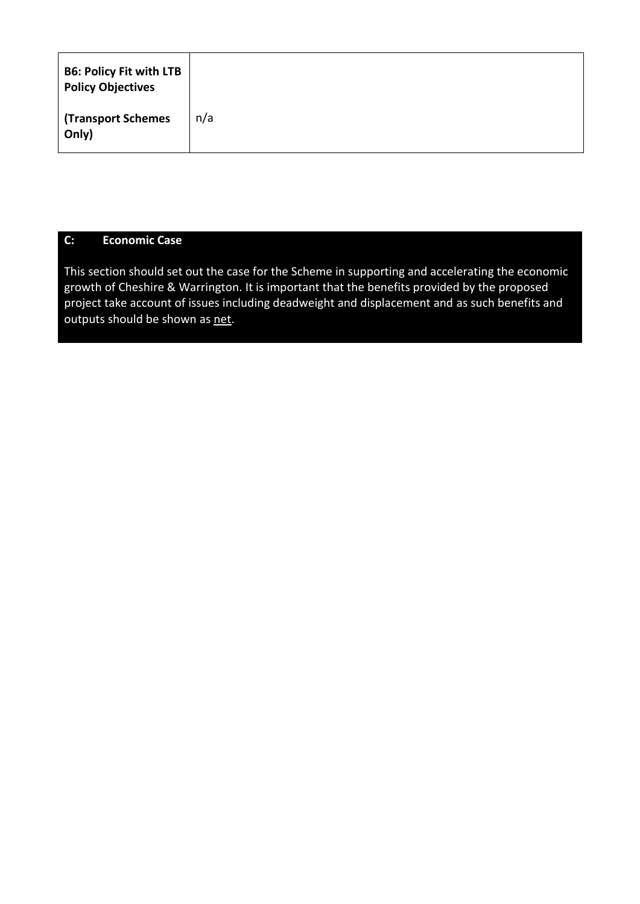| <b>B6: Policy Fit with LTB</b><br><b>Policy Objectives</b> |     |
|------------------------------------------------------------|-----|
| <b>Transport Schemes</b><br>Only)                          | n/a |

## **C: Economic Case**

This section should set out the case for the Scheme in supporting and accelerating the economic growth of Cheshire & Warrington. It is important that the benefits provided by the proposed project take account of issues including deadweight and displacement and as such benefits and outputs should be shown as net.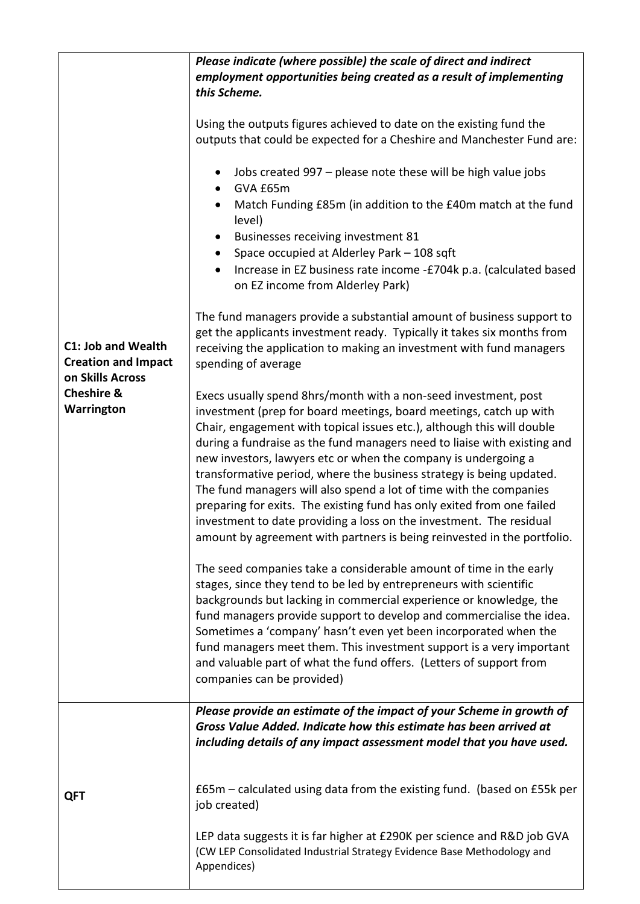|                                                                                                                    | Please indicate (where possible) the scale of direct and indirect                                                                                                                                                                                                                                                                                                                                                                                                                                                                                                                                                                                                                                                                       |
|--------------------------------------------------------------------------------------------------------------------|-----------------------------------------------------------------------------------------------------------------------------------------------------------------------------------------------------------------------------------------------------------------------------------------------------------------------------------------------------------------------------------------------------------------------------------------------------------------------------------------------------------------------------------------------------------------------------------------------------------------------------------------------------------------------------------------------------------------------------------------|
|                                                                                                                    | employment opportunities being created as a result of implementing                                                                                                                                                                                                                                                                                                                                                                                                                                                                                                                                                                                                                                                                      |
|                                                                                                                    | this Scheme.                                                                                                                                                                                                                                                                                                                                                                                                                                                                                                                                                                                                                                                                                                                            |
|                                                                                                                    | Using the outputs figures achieved to date on the existing fund the<br>outputs that could be expected for a Cheshire and Manchester Fund are:                                                                                                                                                                                                                                                                                                                                                                                                                                                                                                                                                                                           |
|                                                                                                                    | Jobs created 997 - please note these will be high value jobs<br>GVA £65m                                                                                                                                                                                                                                                                                                                                                                                                                                                                                                                                                                                                                                                                |
|                                                                                                                    | Match Funding £85m (in addition to the £40m match at the fund<br>level)                                                                                                                                                                                                                                                                                                                                                                                                                                                                                                                                                                                                                                                                 |
|                                                                                                                    | Businesses receiving investment 81                                                                                                                                                                                                                                                                                                                                                                                                                                                                                                                                                                                                                                                                                                      |
|                                                                                                                    | Space occupied at Alderley Park - 108 sqft                                                                                                                                                                                                                                                                                                                                                                                                                                                                                                                                                                                                                                                                                              |
|                                                                                                                    | Increase in EZ business rate income -£704k p.a. (calculated based<br>on EZ income from Alderley Park)                                                                                                                                                                                                                                                                                                                                                                                                                                                                                                                                                                                                                                   |
| <b>C1: Job and Wealth</b><br><b>Creation and Impact</b><br>on Skills Across<br><b>Cheshire &amp;</b><br>Warrington | The fund managers provide a substantial amount of business support to<br>get the applicants investment ready. Typically it takes six months from<br>receiving the application to making an investment with fund managers<br>spending of average                                                                                                                                                                                                                                                                                                                                                                                                                                                                                         |
|                                                                                                                    | Execs usually spend 8hrs/month with a non-seed investment, post<br>investment (prep for board meetings, board meetings, catch up with<br>Chair, engagement with topical issues etc.), although this will double<br>during a fundraise as the fund managers need to liaise with existing and<br>new investors, lawyers etc or when the company is undergoing a<br>transformative period, where the business strategy is being updated.<br>The fund managers will also spend a lot of time with the companies<br>preparing for exits. The existing fund has only exited from one failed<br>investment to date providing a loss on the investment. The residual<br>amount by agreement with partners is being reinvested in the portfolio. |
|                                                                                                                    | The seed companies take a considerable amount of time in the early<br>stages, since they tend to be led by entrepreneurs with scientific<br>backgrounds but lacking in commercial experience or knowledge, the<br>fund managers provide support to develop and commercialise the idea.<br>Sometimes a 'company' hasn't even yet been incorporated when the<br>fund managers meet them. This investment support is a very important<br>and valuable part of what the fund offers. (Letters of support from<br>companies can be provided)                                                                                                                                                                                                 |
| QFT                                                                                                                | Please provide an estimate of the impact of your Scheme in growth of<br>Gross Value Added. Indicate how this estimate has been arrived at<br>including details of any impact assessment model that you have used.                                                                                                                                                                                                                                                                                                                                                                                                                                                                                                                       |
|                                                                                                                    | $E65m$ – calculated using data from the existing fund. (based on £55k per<br>job created)                                                                                                                                                                                                                                                                                                                                                                                                                                                                                                                                                                                                                                               |
|                                                                                                                    | LEP data suggests it is far higher at £290K per science and R&D job GVA<br>(CW LEP Consolidated Industrial Strategy Evidence Base Methodology and<br>Appendices)                                                                                                                                                                                                                                                                                                                                                                                                                                                                                                                                                                        |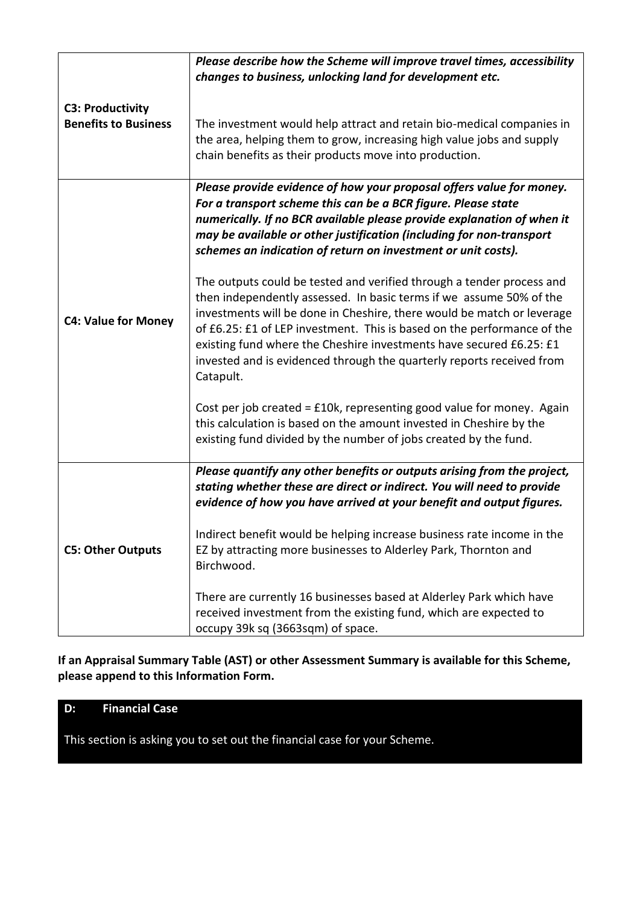|                                                        | Please describe how the Scheme will improve travel times, accessibility<br>changes to business, unlocking land for development etc.                                                                                                                                                                                                                                                                                                                            |
|--------------------------------------------------------|----------------------------------------------------------------------------------------------------------------------------------------------------------------------------------------------------------------------------------------------------------------------------------------------------------------------------------------------------------------------------------------------------------------------------------------------------------------|
| <b>C3: Productivity</b><br><b>Benefits to Business</b> | The investment would help attract and retain bio-medical companies in<br>the area, helping them to grow, increasing high value jobs and supply<br>chain benefits as their products move into production.                                                                                                                                                                                                                                                       |
|                                                        | Please provide evidence of how your proposal offers value for money.<br>For a transport scheme this can be a BCR figure. Please state<br>numerically. If no BCR available please provide explanation of when it<br>may be available or other justification (including for non-transport<br>schemes an indication of return on investment or unit costs).                                                                                                       |
| <b>C4: Value for Money</b>                             | The outputs could be tested and verified through a tender process and<br>then independently assessed. In basic terms if we assume 50% of the<br>investments will be done in Cheshire, there would be match or leverage<br>of £6.25: £1 of LEP investment. This is based on the performance of the<br>existing fund where the Cheshire investments have secured £6.25: £1<br>invested and is evidenced through the quarterly reports received from<br>Catapult. |
|                                                        | Cost per job created = £10k, representing good value for money. Again<br>this calculation is based on the amount invested in Cheshire by the<br>existing fund divided by the number of jobs created by the fund.                                                                                                                                                                                                                                               |
| <b>C5: Other Outputs</b>                               | Please quantify any other benefits or outputs arising from the project,<br>stating whether these are direct or indirect. You will need to provide<br>evidence of how you have arrived at your benefit and output figures.                                                                                                                                                                                                                                      |
|                                                        | Indirect benefit would be helping increase business rate income in the<br>EZ by attracting more businesses to Alderley Park, Thornton and<br>Birchwood.                                                                                                                                                                                                                                                                                                        |
|                                                        | There are currently 16 businesses based at Alderley Park which have<br>received investment from the existing fund, which are expected to<br>occupy 39k sq (3663sqm) of space.                                                                                                                                                                                                                                                                                  |

**If an Appraisal Summary Table (AST) or other Assessment Summary is available for this Scheme, please append to this Information Form.**

## **D: Financial Case**

This section is asking you to set out the financial case for your Scheme.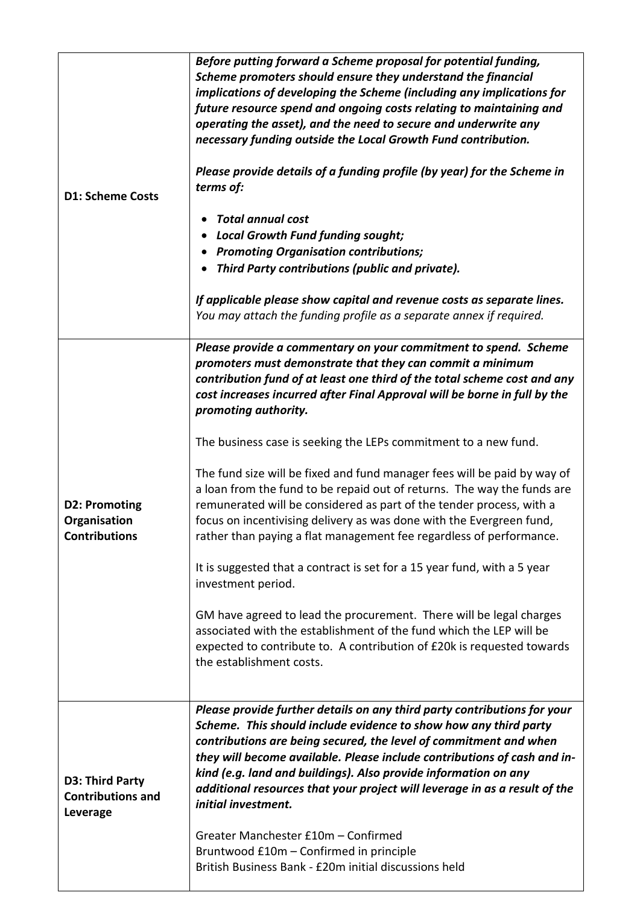| <b>D1: Scheme Costs</b>                                      | Before putting forward a Scheme proposal for potential funding,<br>Scheme promoters should ensure they understand the financial<br>implications of developing the Scheme (including any implications for<br>future resource spend and ongoing costs relating to maintaining and<br>operating the asset), and the need to secure and underwrite any<br>necessary funding outside the Local Growth Fund contribution.<br>Please provide details of a funding profile (by year) for the Scheme in<br>terms of:<br><b>Total annual cost</b><br><b>Local Growth Fund funding sought;</b><br><b>Promoting Organisation contributions;</b><br>Third Party contributions (public and private).<br>If applicable please show capital and revenue costs as separate lines.<br>You may attach the funding profile as a separate annex if required.                                                                                                                                                                                                                                                                              |
|--------------------------------------------------------------|----------------------------------------------------------------------------------------------------------------------------------------------------------------------------------------------------------------------------------------------------------------------------------------------------------------------------------------------------------------------------------------------------------------------------------------------------------------------------------------------------------------------------------------------------------------------------------------------------------------------------------------------------------------------------------------------------------------------------------------------------------------------------------------------------------------------------------------------------------------------------------------------------------------------------------------------------------------------------------------------------------------------------------------------------------------------------------------------------------------------|
| <b>D2: Promoting</b><br>Organisation<br><b>Contributions</b> | Please provide a commentary on your commitment to spend. Scheme<br>promoters must demonstrate that they can commit a minimum<br>contribution fund of at least one third of the total scheme cost and any<br>cost increases incurred after Final Approval will be borne in full by the<br>promoting authority.<br>The business case is seeking the LEPs commitment to a new fund.<br>The fund size will be fixed and fund manager fees will be paid by way of<br>a loan from the fund to be repaid out of returns. The way the funds are<br>remunerated will be considered as part of the tender process, with a<br>focus on incentivising delivery as was done with the Evergreen fund,<br>rather than paying a flat management fee regardless of performance.<br>It is suggested that a contract is set for a 15 year fund, with a 5 year<br>investment period.<br>GM have agreed to lead the procurement. There will be legal charges<br>associated with the establishment of the fund which the LEP will be<br>expected to contribute to. A contribution of £20k is requested towards<br>the establishment costs. |
| D3: Third Party<br><b>Contributions and</b><br>Leverage      | Please provide further details on any third party contributions for your<br>Scheme. This should include evidence to show how any third party<br>contributions are being secured, the level of commitment and when<br>they will become available. Please include contributions of cash and in-<br>kind (e.g. land and buildings). Also provide information on any<br>additional resources that your project will leverage in as a result of the<br>initial investment.<br>Greater Manchester £10m - Confirmed<br>Bruntwood £10m - Confirmed in principle<br>British Business Bank - £20m initial discussions held                                                                                                                                                                                                                                                                                                                                                                                                                                                                                                     |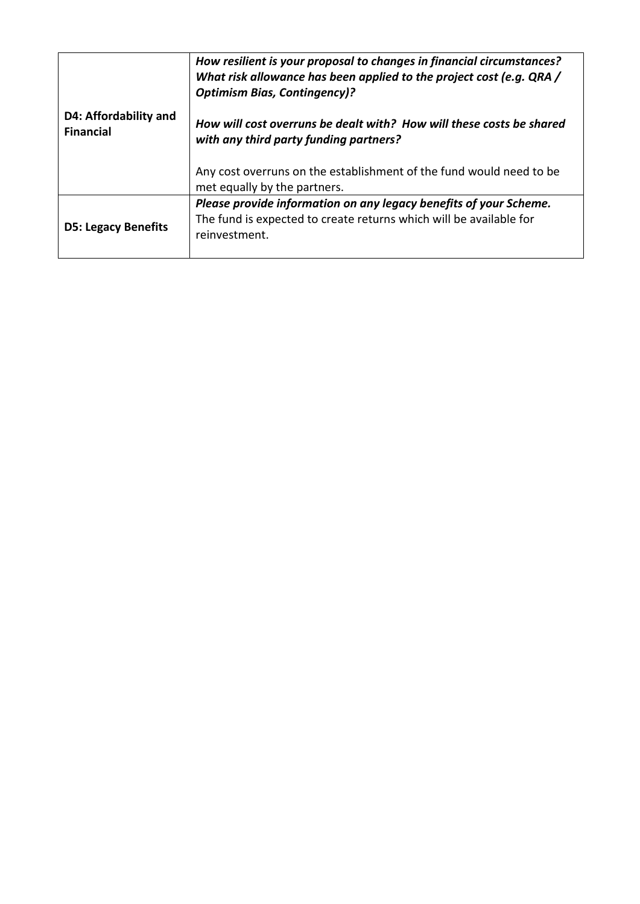|                                           | How resilient is your proposal to changes in financial circumstances?<br>What risk allowance has been applied to the project cost (e.g. QRA /<br><b>Optimism Bias, Contingency)?</b> |
|-------------------------------------------|--------------------------------------------------------------------------------------------------------------------------------------------------------------------------------------|
| D4: Affordability and<br><b>Financial</b> | How will cost overruns be dealt with? How will these costs be shared<br>with any third party funding partners?                                                                       |
|                                           | Any cost overruns on the establishment of the fund would need to be<br>met equally by the partners.                                                                                  |
| <b>D5: Legacy Benefits</b>                | Please provide information on any legacy benefits of your Scheme.<br>The fund is expected to create returns which will be available for<br>reinvestment.                             |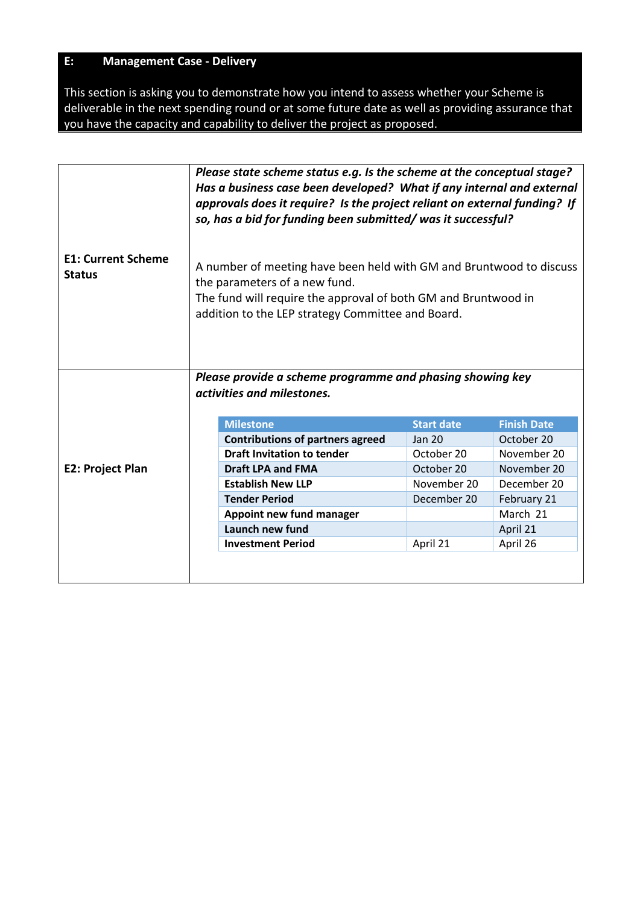## **E: Management Case - Delivery**

This section is asking you to demonstrate how you intend to assess whether your Scheme is deliverable in the next spending round or at some future date as well as providing assurance that you have the capacity and capability to deliver the project as proposed.

|                                            | Please state scheme status e.g. Is the scheme at the conceptual stage?<br>Has a business case been developed? What if any internal and external<br>approvals does it require? Is the project reliant on external funding? If<br>so, has a bid for funding been submitted/was it successful? |                   |                    |  |
|--------------------------------------------|---------------------------------------------------------------------------------------------------------------------------------------------------------------------------------------------------------------------------------------------------------------------------------------------|-------------------|--------------------|--|
| <b>E1: Current Scheme</b><br><b>Status</b> | A number of meeting have been held with GM and Bruntwood to discuss<br>the parameters of a new fund.<br>The fund will require the approval of both GM and Bruntwood in<br>addition to the LEP strategy Committee and Board.                                                                 |                   |                    |  |
|                                            | Please provide a scheme programme and phasing showing key                                                                                                                                                                                                                                   |                   |                    |  |
|                                            | activities and milestones.                                                                                                                                                                                                                                                                  |                   |                    |  |
|                                            |                                                                                                                                                                                                                                                                                             |                   |                    |  |
|                                            | <b>Milestone</b>                                                                                                                                                                                                                                                                            | <b>Start date</b> | <b>Finish Date</b> |  |
|                                            | <b>Contributions of partners agreed</b>                                                                                                                                                                                                                                                     | <b>Jan 20</b>     | October 20         |  |
|                                            | <b>Draft Invitation to tender</b>                                                                                                                                                                                                                                                           | October 20        | November 20        |  |
| <b>E2: Project Plan</b>                    | <b>Draft LPA and FMA</b>                                                                                                                                                                                                                                                                    | October 20        | November 20        |  |
|                                            | <b>Establish New LLP</b>                                                                                                                                                                                                                                                                    | November 20       | December 20        |  |
|                                            | <b>Tender Period</b>                                                                                                                                                                                                                                                                        | December 20       | February 21        |  |
|                                            | Appoint new fund manager                                                                                                                                                                                                                                                                    |                   | March 21           |  |
|                                            | Launch new fund                                                                                                                                                                                                                                                                             |                   | April 21           |  |
|                                            | <b>Investment Period</b>                                                                                                                                                                                                                                                                    | April 21          | April 26           |  |
|                                            |                                                                                                                                                                                                                                                                                             |                   |                    |  |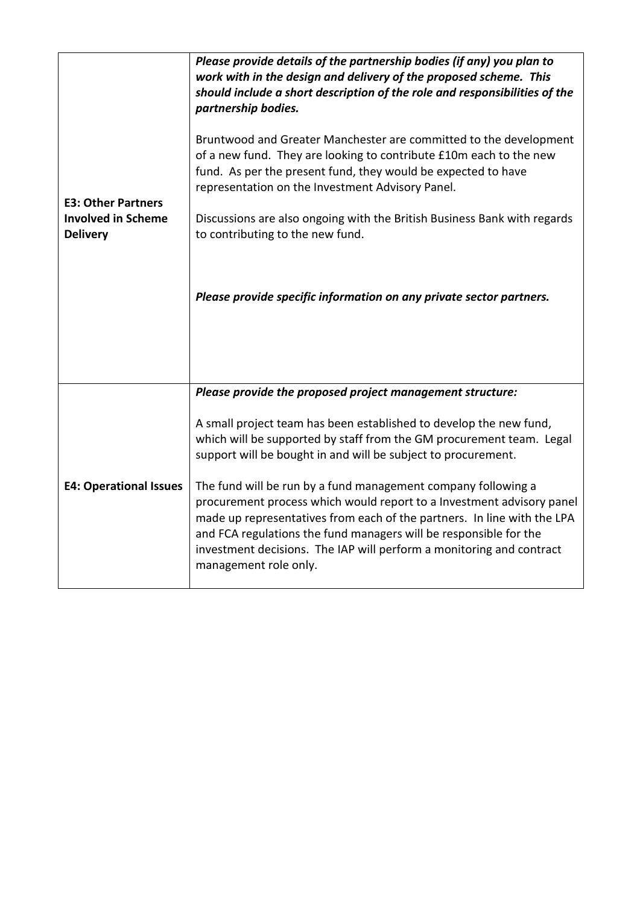| <b>E3: Other Partners</b><br><b>Involved in Scheme</b><br><b>Delivery</b> | Please provide details of the partnership bodies (if any) you plan to<br>work with in the design and delivery of the proposed scheme. This<br>should include a short description of the role and responsibilities of the<br>partnership bodies.<br>Bruntwood and Greater Manchester are committed to the development<br>of a new fund. They are looking to contribute £10m each to the new<br>fund. As per the present fund, they would be expected to have<br>representation on the Investment Advisory Panel.<br>Discussions are also ongoing with the British Business Bank with regards<br>to contributing to the new fund.<br>Please provide specific information on any private sector partners. |
|---------------------------------------------------------------------------|--------------------------------------------------------------------------------------------------------------------------------------------------------------------------------------------------------------------------------------------------------------------------------------------------------------------------------------------------------------------------------------------------------------------------------------------------------------------------------------------------------------------------------------------------------------------------------------------------------------------------------------------------------------------------------------------------------|
| <b>E4: Operational Issues</b>                                             | Please provide the proposed project management structure:<br>A small project team has been established to develop the new fund,<br>which will be supported by staff from the GM procurement team. Legal<br>support will be bought in and will be subject to procurement.<br>The fund will be run by a fund management company following a<br>procurement process which would report to a Investment advisory panel<br>made up representatives from each of the partners. In line with the LPA<br>and FCA regulations the fund managers will be responsible for the<br>investment decisions. The IAP will perform a monitoring and contract<br>management role only.                                    |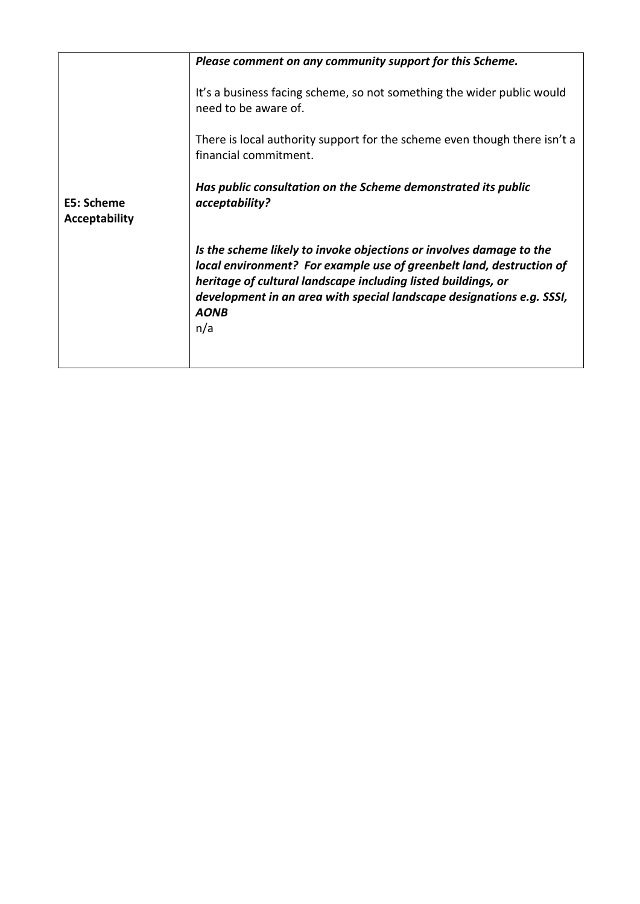|                                    | Please comment on any community support for this Scheme.                                                                                                                                                                                                                                                    |
|------------------------------------|-------------------------------------------------------------------------------------------------------------------------------------------------------------------------------------------------------------------------------------------------------------------------------------------------------------|
| E5: Scheme<br><b>Acceptability</b> | It's a business facing scheme, so not something the wider public would<br>need to be aware of.<br>There is local authority support for the scheme even though there isn't a<br>financial commitment.<br>Has public consultation on the Scheme demonstrated its public<br>acceptability?                     |
|                                    | Is the scheme likely to invoke objections or involves damage to the<br>local environment? For example use of greenbelt land, destruction of<br>heritage of cultural landscape including listed buildings, or<br>development in an area with special landscape designations e.g. SSSI,<br><b>AONB</b><br>n/a |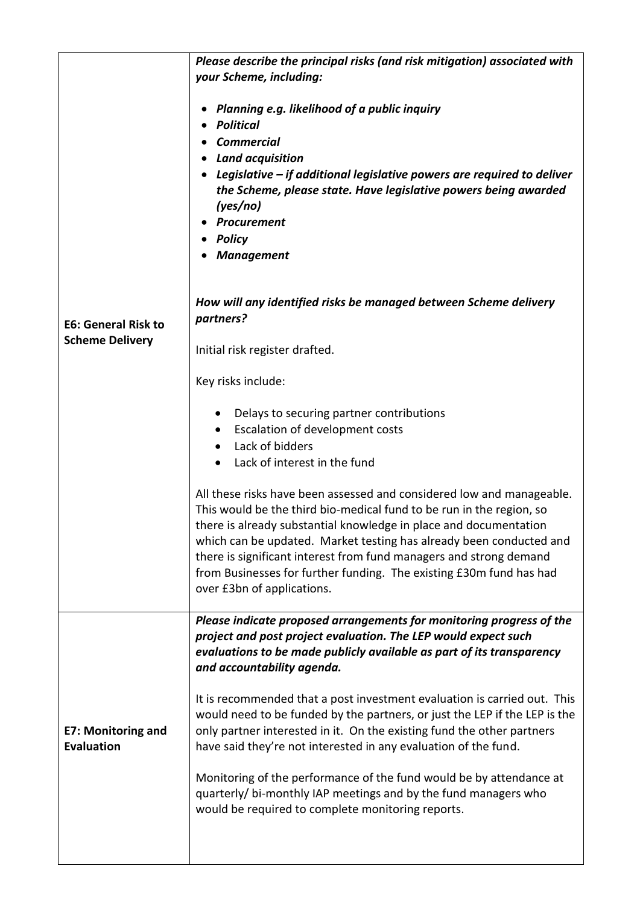|                                                      | Please describe the principal risks (and risk mitigation) associated with<br>your Scheme, including:                                                                                                                                                                                                                                                                                                                                                                 |
|------------------------------------------------------|----------------------------------------------------------------------------------------------------------------------------------------------------------------------------------------------------------------------------------------------------------------------------------------------------------------------------------------------------------------------------------------------------------------------------------------------------------------------|
| <b>E6: General Risk to</b><br><b>Scheme Delivery</b> | Planning e.g. likelihood of a public inquiry<br><b>Political</b><br><b>Commercial</b><br><b>Land acquisition</b><br>Legislative $-$ if additional legislative powers are required to deliver<br>the Scheme, please state. Have legislative powers being awarded<br>(yes/no)<br>Procurement<br><b>Policy</b><br><b>Management</b>                                                                                                                                     |
|                                                      | How will any identified risks be managed between Scheme delivery<br>partners?                                                                                                                                                                                                                                                                                                                                                                                        |
|                                                      | Initial risk register drafted.                                                                                                                                                                                                                                                                                                                                                                                                                                       |
|                                                      | Key risks include:                                                                                                                                                                                                                                                                                                                                                                                                                                                   |
|                                                      | Delays to securing partner contributions<br>Escalation of development costs<br>Lack of bidders<br>Lack of interest in the fund                                                                                                                                                                                                                                                                                                                                       |
|                                                      | All these risks have been assessed and considered low and manageable.<br>This would be the third bio-medical fund to be run in the region, so<br>there is already substantial knowledge in place and documentation<br>which can be updated. Market testing has already been conducted and<br>there is significant interest from fund managers and strong demand<br>from Businesses for further funding. The existing £30m fund has had<br>over £3bn of applications. |
| <b>E7: Monitoring and</b><br><b>Evaluation</b>       | Please indicate proposed arrangements for monitoring progress of the<br>project and post project evaluation. The LEP would expect such<br>evaluations to be made publicly available as part of its transparency<br>and accountability agenda.                                                                                                                                                                                                                        |
|                                                      | It is recommended that a post investment evaluation is carried out. This<br>would need to be funded by the partners, or just the LEP if the LEP is the<br>only partner interested in it. On the existing fund the other partners<br>have said they're not interested in any evaluation of the fund.                                                                                                                                                                  |
|                                                      | Monitoring of the performance of the fund would be by attendance at<br>quarterly/ bi-monthly IAP meetings and by the fund managers who<br>would be required to complete monitoring reports.                                                                                                                                                                                                                                                                          |
|                                                      |                                                                                                                                                                                                                                                                                                                                                                                                                                                                      |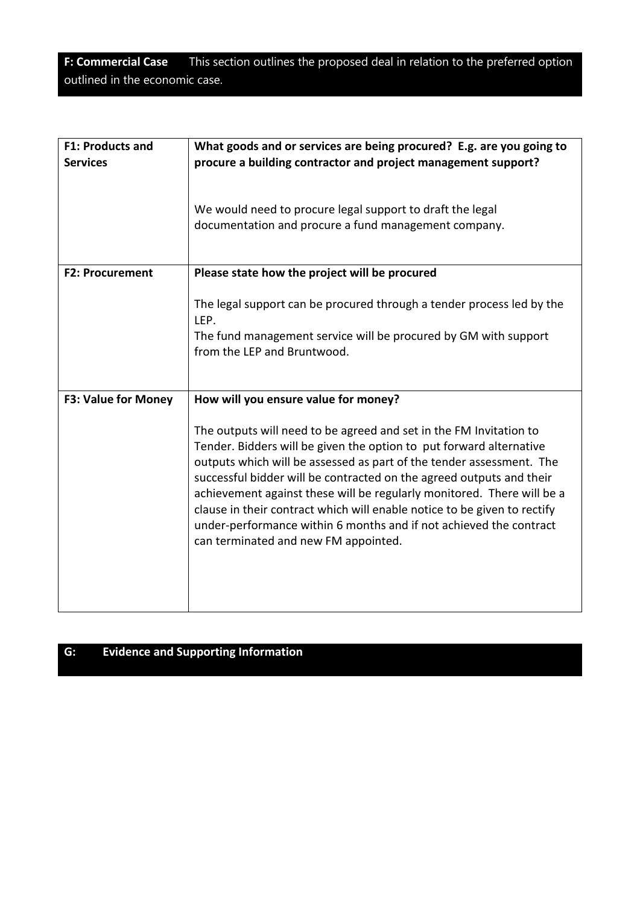**F: Commercial Case** This section outlines the proposed deal in relation to the preferred option outlined in the economic case.

| <b>F1: Products and</b><br><b>Services</b> | What goods and or services are being procured? E.g. are you going to<br>procure a building contractor and project management support?                                                                                                                                                                                                                                                                                                                                                                                                                         |
|--------------------------------------------|---------------------------------------------------------------------------------------------------------------------------------------------------------------------------------------------------------------------------------------------------------------------------------------------------------------------------------------------------------------------------------------------------------------------------------------------------------------------------------------------------------------------------------------------------------------|
|                                            | We would need to procure legal support to draft the legal<br>documentation and procure a fund management company.                                                                                                                                                                                                                                                                                                                                                                                                                                             |
| <b>F2: Procurement</b>                     | Please state how the project will be procured                                                                                                                                                                                                                                                                                                                                                                                                                                                                                                                 |
|                                            | The legal support can be procured through a tender process led by the<br>LEP.<br>The fund management service will be procured by GM with support<br>from the LEP and Bruntwood.                                                                                                                                                                                                                                                                                                                                                                               |
| F3: Value for Money                        | How will you ensure value for money?                                                                                                                                                                                                                                                                                                                                                                                                                                                                                                                          |
|                                            | The outputs will need to be agreed and set in the FM Invitation to<br>Tender. Bidders will be given the option to put forward alternative<br>outputs which will be assessed as part of the tender assessment. The<br>successful bidder will be contracted on the agreed outputs and their<br>achievement against these will be regularly monitored. There will be a<br>clause in their contract which will enable notice to be given to rectify<br>under-performance within 6 months and if not achieved the contract<br>can terminated and new FM appointed. |

# **G: Evidence and Supporting Information**